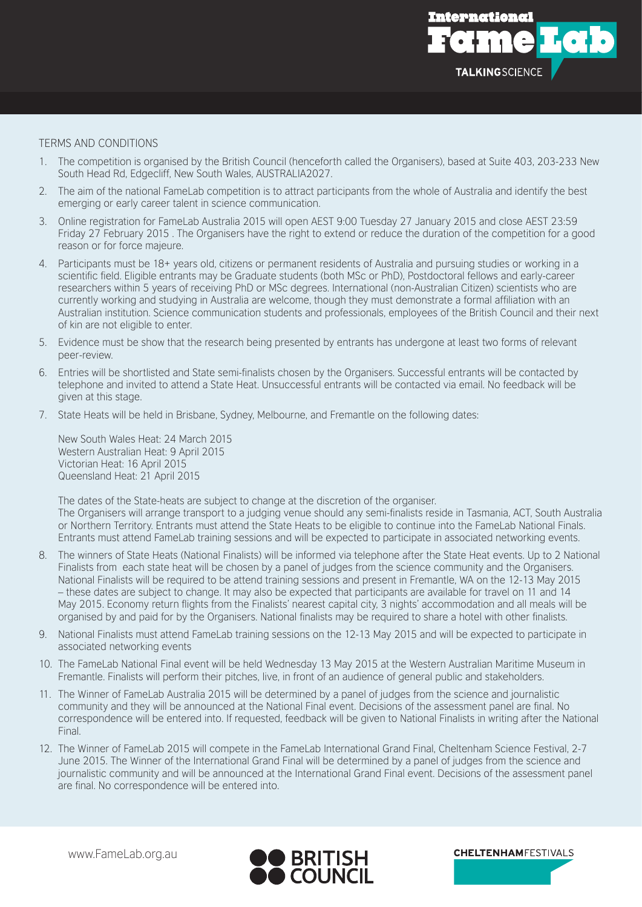

## TERMS AND CONDITIONS

- 1. The competition is organised by the British Council (henceforth called the Organisers), based at Suite 403, 203-233 New South Head Rd, Edgecliff, New South Wales, AUSTRALIA2027.
- 2. The aim of the national FameLab competition is to attract participants from the whole of Australia and identify the best emerging or early career talent in science communication.
- 3. Online registration for FameLab Australia 2015 will open AEST 9:00 Tuesday 27 January 2015 and close AEST 23:59 Friday 27 February 2015 . The Organisers have the right to extend or reduce the duration of the competition for a good reason or for force majeure.
- 4. Participants must be 18+ years old, citizens or permanent residents of Australia and pursuing studies or working in a scientific field. Eligible entrants may be Graduate students (both MSc or PhD), Postdoctoral fellows and early-career researchers within 5 years of receiving PhD or MSc degrees. International (non-Australian Citizen) scientists who are currently working and studying in Australia are welcome, though they must demonstrate a formal affiliation with an Australian institution. Science communication students and professionals, employees of the British Council and their next of kin are not eligible to enter.
- 5. Evidence must be show that the research being presented by entrants has undergone at least two forms of relevant peer-review.
- 6. Entries will be shortlisted and State semi-finalists chosen by the Organisers. Successful entrants will be contacted by telephone and invited to attend a State Heat. Unsuccessful entrants will be contacted via email. No feedback will be given at this stage.
- 7. State Heats will be held in Brisbane, Sydney, Melbourne, and Fremantle on the following dates:

New South Wales Heat: 24 March 2015 Western Australian Heat: 9 April 2015 Victorian Heat: 16 April 2015 Queensland Heat: 21 April 2015

The dates of the State-heats are subject to change at the discretion of the organiser. The Organisers will arrange transport to a judging venue should any semi-finalists reside in Tasmania, ACT, South Australia or Northern Territory. Entrants must attend the State Heats to be eligible to continue into the FameLab National Finals. Entrants must attend FameLab training sessions and will be expected to participate in associated networking events.

- 8. The winners of State Heats (National Finalists) will be informed via telephone after the State Heat events. Up to 2 National Finalists from each state heat will be chosen by a panel of judges from the science community and the Organisers. National Finalists will be required to be attend training sessions and present in Fremantle, WA on the 12-13 May 2015 – these dates are subject to change. It may also be expected that participants are available for travel on 11 and 14 May 2015. Economy return flights from the Finalists' nearest capital city, 3 nights' accommodation and all meals will be organised by and paid for by the Organisers. National finalists may be required to share a hotel with other finalists.
- 9. National Finalists must attend FameLab training sessions on the 12-13 May 2015 and will be expected to participate in associated networking events
- 10. The FameLab National Final event will be held Wednesday 13 May 2015 at the Western Australian Maritime Museum in Fremantle. Finalists will perform their pitches, live, in front of an audience of general public and stakeholders.
- 11. The Winner of FameLab Australia 2015 will be determined by a panel of judges from the science and journalistic community and they will be announced at the National Final event. Decisions of the assessment panel are final. No correspondence will be entered into. If requested, feedback will be given to National Finalists in writing after the National Final.
- 12. The Winner of FameLab 2015 will compete in the FameLab International Grand Final, Cheltenham Science Festival, 2-7 June 2015. The Winner of the International Grand Final will be determined by a panel of judges from the science and journalistic community and will be announced at the International Grand Final event. Decisions of the assessment panel are final. No correspondence will be entered into.



**CHELTENHAMFESTIVALS**